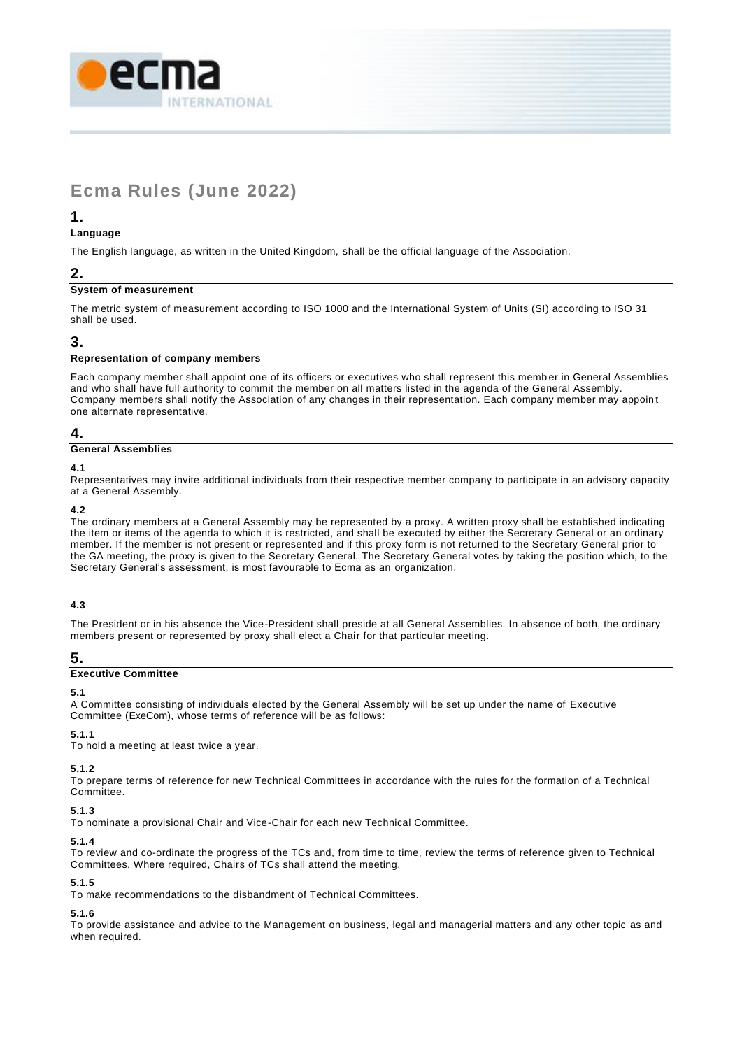

# **Ecma Rules (June 2022)**

# **1.**

#### **Language**

The English language, as written in the United Kingdom, shall be the official language of the Association.

# **2.**

# **System of measurement**

The metric system of measurement according to ISO 1000 and the International System of Units (SI) according to ISO 31 shall be used.

# **3.**

# **Representation of company members**

Each company member shall appoint one of its officers or executives who shall represent this memb er in General Assemblies and who shall have full authority to commit the member on all matters listed in the agenda of the General Assembly. Company members shall notify the Association of any changes in their representation. Each company member may appoin t one alternate representative.

# **4.**

# **General Assemblies**

#### **4.1**

Representatives may invite additional individuals from their respective member company to participate in an advisory capacity at a General Assembly.

# **4.2**

The ordinary members at a General Assembly may be represented by a proxy. A written proxy shall be established indicating the item or items of the agenda to which it is restricted, and shall be executed by either the Secretary General or an ordinary member. If the member is not present or represented and if this proxy form is not returned to the Secretary General prior to the GA meeting, the proxy is given to the Secretary General. The Secretary General votes by taking the position which, to the Secretary General's assessment, is most favourable to Ecma as an organization.

# **4.3**

The President or in his absence the Vice-President shall preside at all General Assemblies. In absence of both, the ordinary members present or represented by proxy shall elect a Chair for that particular meeting.

# **5.**

# **Executive Committee**

# **5.1**

A Committee consisting of individuals elected by the General Assembly will be set up under the name of Executive Committee (ExeCom), whose terms of reference will be as follows:

# **5.1.1**

To hold a meeting at least twice a year.

# **5.1.2**

To prepare terms of reference for new Technical Committees in accordance with the rules for the formation of a Technical Committee.

# **5.1.3**

To nominate a provisional Chair and Vice-Chair for each new Technical Committee.

# **5.1.4**

To review and co-ordinate the progress of the TCs and, from time to time, review the terms of reference given to Technical Committees. Where required, Chairs of TCs shall attend the meeting.

# **5.1.5**

To make recommendations to the disbandment of Technical Committees.

# **5.1.6**

To provide assistance and advice to the Management on business, legal and managerial matters and any other topic as and when required.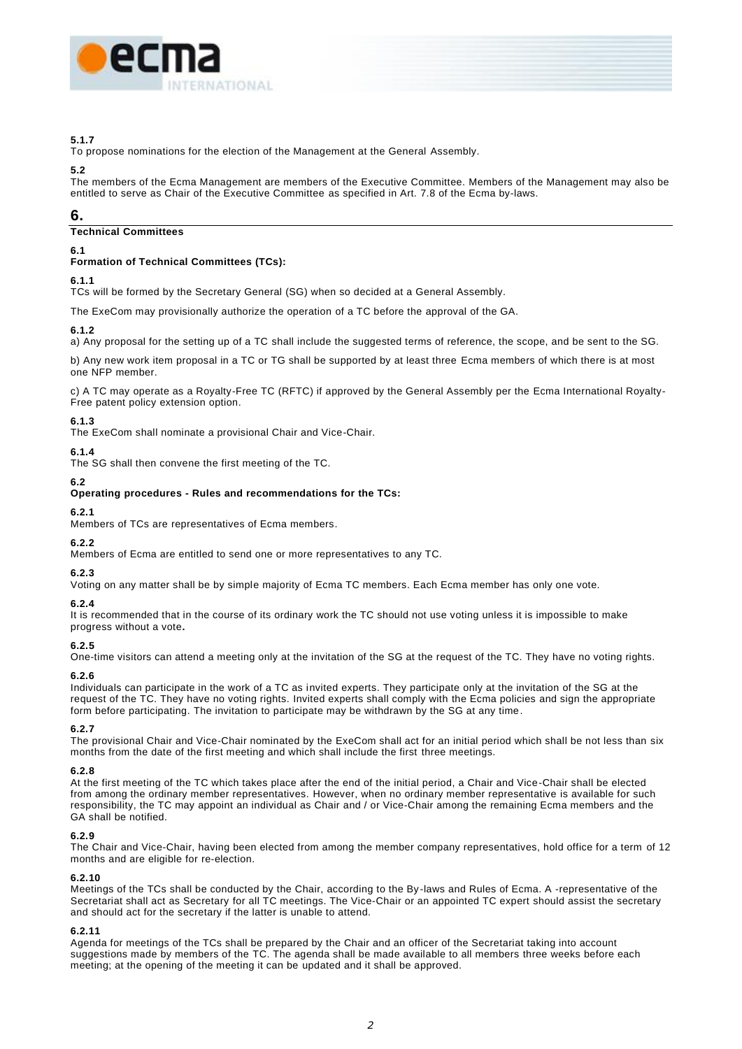

#### **5.1.7**

To propose nominations for the election of the Management at the General Assembly.

#### **5.2**

The members of the Ecma Management are members of the Executive Committee. Members of the Management may also be entitled to serve as Chair of the Executive Committee as specified in Art. 7.8 of the Ecma by-laws.

# **6.**

# **Technical Committees**

# **6.1**

# **Formation of Technical Committees (TCs):**

# **6.1.1**

TCs will be formed by the Secretary General (SG) when so decided at a General Assembly.

The ExeCom may provisionally authorize the operation of a TC before the approval of the GA.

# **6.1.2**

a) Any proposal for the setting up of a TC shall include the suggested terms of reference, the scope, and be sent to the SG.

b) Any new work item proposal in a TC or TG shall be supported by at least three Ecma members of which there is at most one NFP member.

c) A TC may operate as a Royalty-Free TC (RFTC) if approved by the General Assembly per the Ecma International Royalty-Free patent policy extension option.

# **6.1.3**

The ExeCom shall nominate a provisional Chair and Vice-Chair.

# **6.1.4**

The SG shall then convene the first meeting of the TC.

# **6.2**

#### **Operating procedures - Rules and recommendations for the TCs:**

#### **6.2.1**

Members of TCs are representatives of Ecma members.

# **6.2.2**

Members of Ecma are entitled to send one or more representatives to any TC.

# **6.2.3**

Voting on any matter shall be by simple majority of Ecma TC members. Each Ecma member has only one vote.

# **6.2.4**

It is recommended that in the course of its ordinary work the TC should not use voting unless it is impossible to make progress without a vote**.**

# **6.2.5**

One-time visitors can attend a meeting only at the invitation of the SG at the request of the TC. They have no voting rights.

# **6.2.6**

Individuals can participate in the work of a TC as invited experts. They participate only at the invitation of the SG at the request of the TC. They have no voting rights. Invited experts shall comply with the Ecma policies and sign the appropriate form before participating. The invitation to participate may be withdrawn by the SG at any time.

# **6.2.7**

The provisional Chair and Vice-Chair nominated by the ExeCom shall act for an initial period which shall be not less than six months from the date of the first meeting and which shall include the first three meetings.

# **6.2.8**

At the first meeting of the TC which takes place after the end of the initial period, a Chair and Vice-Chair shall be elected from among the ordinary member representatives. However, when no ordinary member representative is available for such responsibility, the TC may appoint an individual as Chair and / or Vice-Chair among the remaining Ecma members and the GA shall be notified.

#### **6.2.9**

The Chair and Vice-Chair, having been elected from among the member company representatives, hold office for a term of 12 months and are eligible for re-election.

#### **6.2.10**

Meetings of the TCs shall be conducted by the Chair, according to the By -laws and Rules of Ecma. A -representative of the Secretariat shall act as Secretary for all TC meetings. The Vice-Chair or an appointed TC expert should assist the secretary and should act for the secretary if the latter is unable to attend.

# **6.2.11**

Agenda for meetings of the TCs shall be prepared by the Chair and an officer of the Secretariat taking into account suggestions made by members of the TC. The agenda shall be made available to all members three weeks before each meeting; at the opening of the meeting it can be updated and it shall be approved.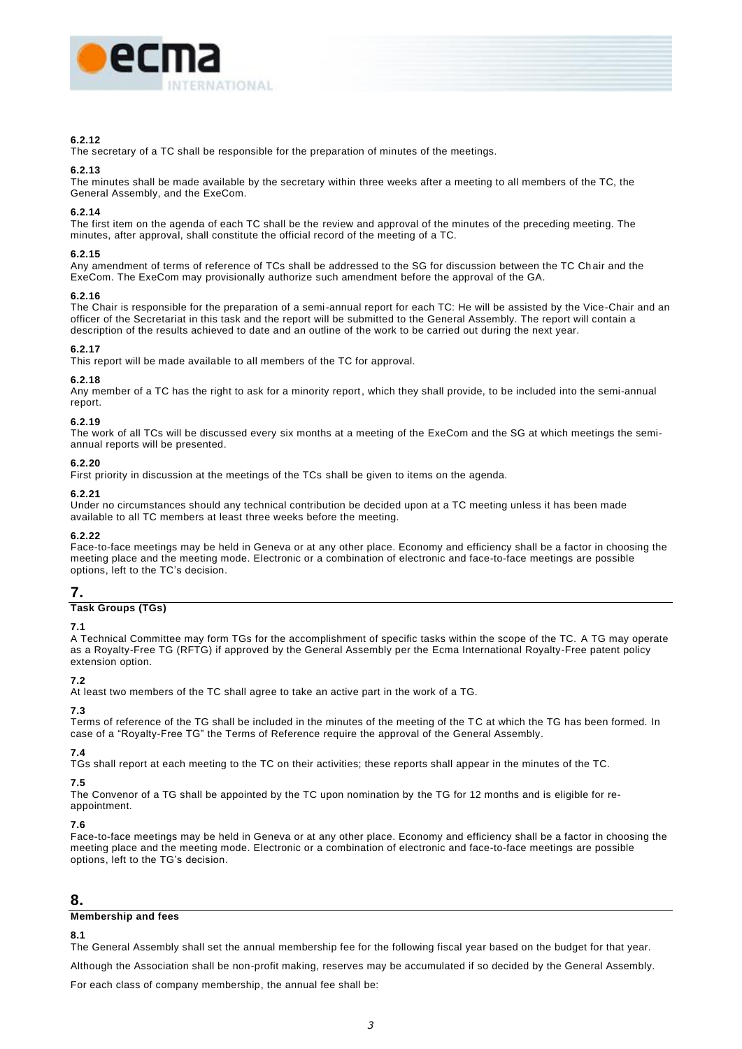

#### **6.2.12**

The secretary of a TC shall be responsible for the preparation of minutes of the meetings.

#### **6.2.13**

The minutes shall be made available by the secretary within three weeks after a meeting to all members of the TC, the General Assembly, and the ExeCom.

#### **6.2.14**

The first item on the agenda of each TC shall be the review and approval of the minutes of the preceding meeting. The minutes, after approval, shall constitute the official record of the meeting of a TC.

#### **6.2.15**

Any amendment of terms of reference of TCs shall be addressed to the SG for discussion between the TC Ch air and the ExeCom. The ExeCom may provisionally authorize such amendment before the approval of the GA.

#### **6.2.16**

The Chair is responsible for the preparation of a semi-annual report for each TC: He will be assisted by the Vice-Chair and an officer of the Secretariat in this task and the report will be submitted to the General Assembly. The report will contain a description of the results achieved to date and an outline of the work to be carried out during the next year.

#### **6.2.17**

This report will be made available to all members of the TC for approval.

#### **6.2.18**

Any member of a TC has the right to ask for a minority report, which they shall provide, to be included into the semi-annual report.

#### **6.2.19**

The work of all TCs will be discussed every six months at a meeting of the ExeCom and the SG at which meetings the semiannual reports will be presented.

#### **6.2.20**

First priority in discussion at the meetings of the TCs shall be given to items on the agenda.

#### **6.2.21**

Under no circumstances should any technical contribution be decided upon at a TC meeting unless it has been made available to all TC members at least three weeks before the meeting.

#### **6.2.22**

Face-to-face meetings may be held in Geneva or at any other place. Economy and efficiency shall be a factor in choosing the meeting place and the meeting mode. Electronic or a combination of electronic and face-to-face meetings are possible options, left to the TC's decision.

# **7.**

# **Task Groups (TGs)**

#### **7.1**

A Technical Committee may form TGs for the accomplishment of specific tasks within the scope of the TC. A TG may operate as a Royalty-Free TG (RFTG) if approved by the General Assembly per the Ecma International Royalty-Free patent policy extension option.

# **7.2**

At least two members of the TC shall agree to take an active part in the work of a TG.

#### **7.3**

Terms of reference of the TG shall be included in the minutes of the meeting of the TC at which the TG has been formed. In case of a "Royalty-Free TG" the Terms of Reference require the approval of the General Assembly.

# **7.4**

TGs shall report at each meeting to the TC on their activities; these reports shall appear in the minutes of the TC.

# **7.5**

The Convenor of a TG shall be appointed by the TC upon nomination by the TG for 12 months and is eligible for reappointment.

#### **7.6**

Face-to-face meetings may be held in Geneva or at any other place. Economy and efficiency shall be a factor in choosing the meeting place and the meeting mode. Electronic or a combination of electronic and face-to-face meetings are possible options, left to the TG's decision.

# **8.**

#### **Membership and fees**

#### **8.1**

The General Assembly shall set the annual membership fee for the following fiscal year based on the budget for that year.

Although the Association shall be non-profit making, reserves may be accumulated if so decided by the General Assembly.

For each class of company membership, the annual fee shall be: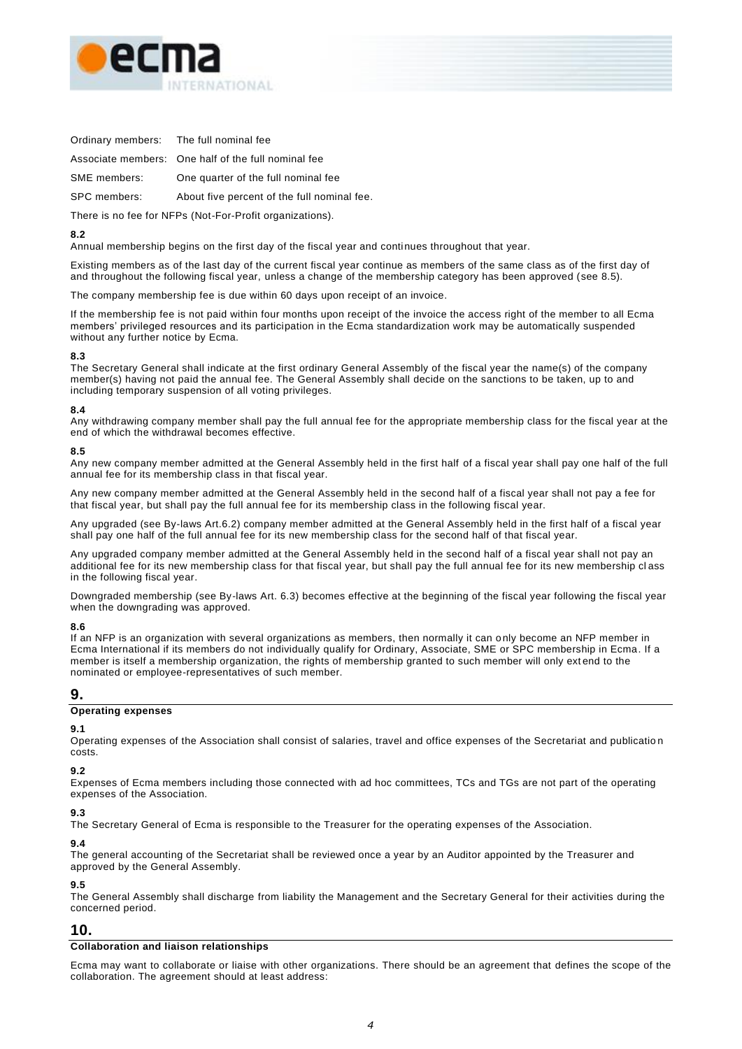

Ordinary members: The full nominal fee

Associate members: One half of the full nominal fee

SME members: One quarter of the full nominal fee

SPC members: About five percent of the full nominal fee.

There is no fee for NFPs (Not-For-Profit organizations).

# **8.2**

Annual membership begins on the first day of the fiscal year and continues throughout that year.

Existing members as of the last day of the current fiscal year continue as members of the same class as of the first day of and throughout the following fiscal year, unless a change of the membership category has been approved (see 8.5).

The company membership fee is due within 60 days upon receipt of an invoice.

If the membership fee is not paid within four months upon receipt of the invoice the access right of the member to all Ecma members' privileged resources and its participation in the Ecma standardization work may be automatically suspended without any further notice by Ecma.

#### **8.3**

The Secretary General shall indicate at the first ordinary General Assembly of the fiscal year the name(s) of the company member(s) having not paid the annual fee. The General Assembly shall decide on the sanctions to be taken, up to and including temporary suspension of all voting privileges.

#### **8.4**

Any withdrawing company member shall pay the full annual fee for the appropriate membership class for the fiscal year at the end of which the withdrawal becomes effective.

#### **8.5**

Any new company member admitted at the General Assembly held in the first half of a fiscal year shall pay one half of the full annual fee for its membership class in that fiscal year.

Any new company member admitted at the General Assembly held in the second half of a fiscal year shall not pay a fee for that fiscal year, but shall pay the full annual fee for its membership class in the following fiscal year.

Any upgraded (see By-laws Art.6.2) company member admitted at the General Assembly held in the first half of a fiscal year shall pay one half of the full annual fee for its new membership class for the second half of that fiscal year.

Any upgraded company member admitted at the General Assembly held in the second half of a fiscal year shall not pay an additional fee for its new membership class for that fiscal year, but shall pay the full annual fee for its new membership cl ass in the following fiscal year.

Downgraded membership (see By-laws Art. 6.3) becomes effective at the beginning of the fiscal year following the fiscal year when the downgrading was approved.

#### **8.6**

If an NFP is an organization with several organizations as members, then normally it can o nly become an NFP member in Ecma International if its members do not individually qualify for Ordinary, Associate, SME or SPC membership in Ecma. If a member is itself a membership organization, the rights of membership granted to such member will only ext end to the nominated or employee-representatives of such member.

# **9.**

#### **Operating expenses**

#### **9.1**

Operating expenses of the Association shall consist of salaries, travel and office expenses of the Secretariat and publicatio n costs.

# **9.2**

Expenses of Ecma members including those connected with ad hoc committees, TCs and TGs are not part of the operating expenses of the Association.

# **9.3**

The Secretary General of Ecma is responsible to the Treasurer for the operating expenses of the Association.

# **9.4**

The general accounting of the Secretariat shall be reviewed once a year by an Auditor appointed by the Treasurer and approved by the General Assembly.

# **9.5**

The General Assembly shall discharge from liability the Management and the Secretary General for their activities during the concerned period.

# **10.**

# **Collaboration and liaison relationships**

Ecma may want to collaborate or liaise with other organizations. There should be an agreement that defines the scope of the collaboration. The agreement should at least address: